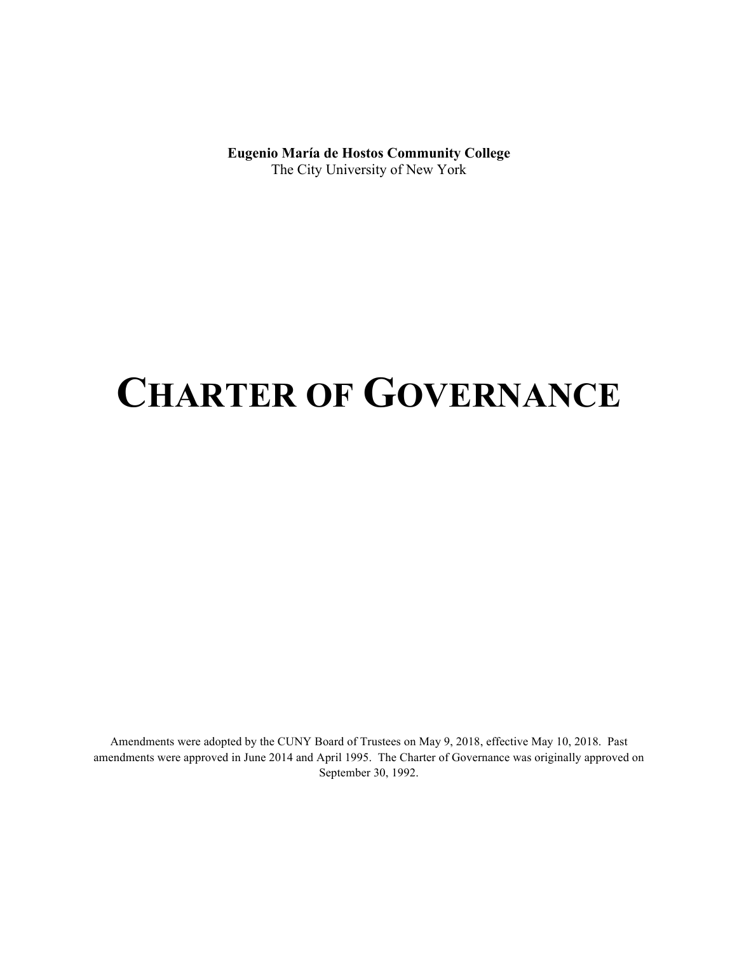**Eugenio María de Hostos Community College**  The City University of New York

# **CHARTER OF GOVERNANCE**

Amendments were adopted by the CUNY Board of Trustees on May 9, 2018, effective May 10, 2018. Past amendments were approved in June 2014 and April 1995. The Charter of Governance was originally approved on September 30, 1992.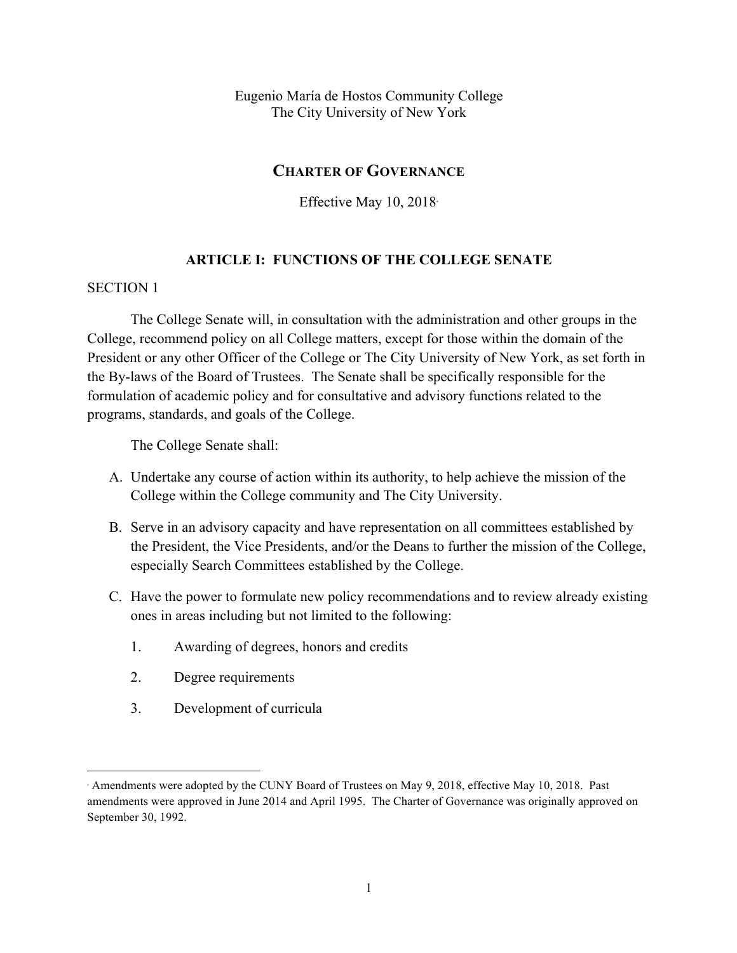Eugenio María de Hostos Community College The City University of New York

# **CHARTER OF GOVERNANCE**

Effective May 10, 2018<sup>∗</sup>

# **ARTICLE I: FUNCTIONS OF THE COLLEGE SENATE**

# SECTION 1

<u>.</u>

The College Senate will, in consultation with the administration and other groups in the College, recommend policy on all College matters, except for those within the domain of the President or any other Officer of the College or The City University of New York, as set forth in the By-laws of the Board of Trustees. The Senate shall be specifically responsible for the formulation of academic policy and for consultative and advisory functions related to the programs, standards, and goals of the College.

The College Senate shall:

- A. Undertake any course of action within its authority, to help achieve the mission of the College within the College community and The City University.
- B. Serve in an advisory capacity and have representation on all committees established by the President, the Vice Presidents, and/or the Deans to further the mission of the College, especially Search Committees established by the College.
- C. Have the power to formulate new policy recommendations and to review already existing ones in areas including but not limited to the following:
	- 1. Awarding of degrees, honors and credits
	- 2. Degree requirements
	- 3. Development of curricula

<sup>∗</sup> Amendments were adopted by the CUNY Board of Trustees on May 9, 2018, effective May 10, 2018. Past amendments were approved in June 2014 and April 1995. The Charter of Governance was originally approved on September 30, 1992.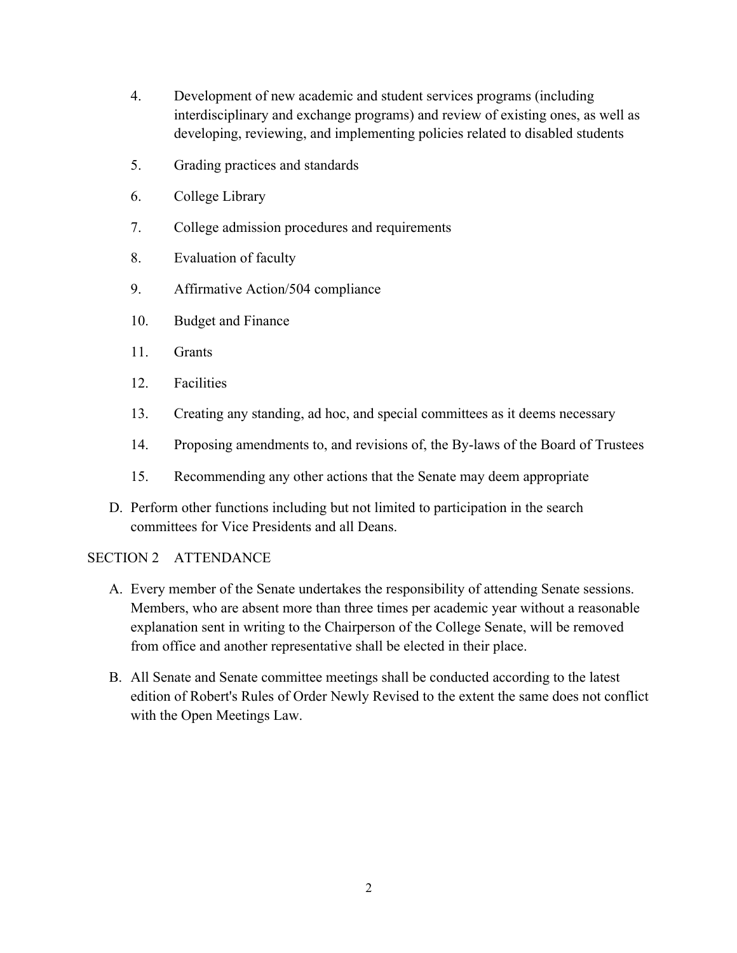- 4. Development of new academic and student services programs (including interdisciplinary and exchange programs) and review of existing ones, as well as developing, reviewing, and implementing policies related to disabled students
- 5. Grading practices and standards
- 6. College Library
- 7. College admission procedures and requirements
- 8. Evaluation of faculty
- 9. Affirmative Action/504 compliance
- 10. Budget and Finance
- 11. Grants
- 12. Facilities
- 13. Creating any standing, ad hoc, and special committees as it deems necessary
- 14. Proposing amendments to, and revisions of, the By-laws of the Board of Trustees
- 15. Recommending any other actions that the Senate may deem appropriate
- D. Perform other functions including but not limited to participation in the search committees for Vice Presidents and all Deans.

# SECTION 2 ATTENDANCE

- A. Every member of the Senate undertakes the responsibility of attending Senate sessions. Members, who are absent more than three times per academic year without a reasonable explanation sent in writing to the Chairperson of the College Senate, will be removed from office and another representative shall be elected in their place.
- B. All Senate and Senate committee meetings shall be conducted according to the latest edition of Robert's Rules of Order Newly Revised to the extent the same does not conflict with the Open Meetings Law.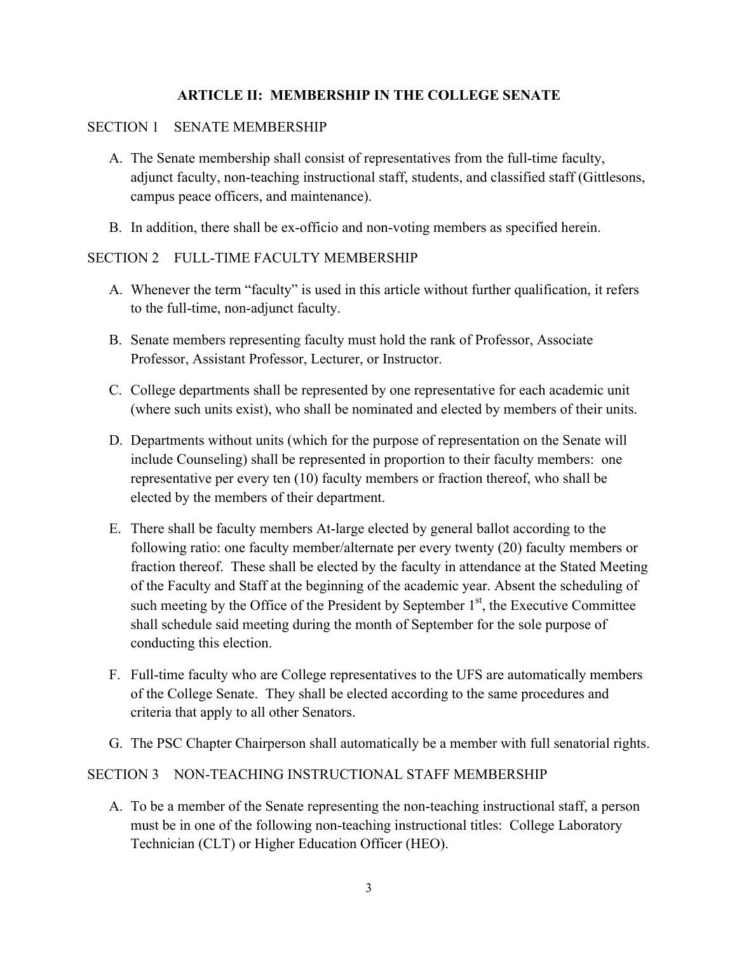# **ARTICLE II: MEMBERSHIP IN THE COLLEGE SENATE**

#### SECTION 1 SENATE MEMBERSHIP

- A. The Senate membership shall consist of representatives from the full-time faculty, adjunct faculty, non-teaching instructional staff, students, and classified staff (Gittlesons, campus peace officers, and maintenance).
- B. In addition, there shall be ex-officio and non-voting members as specified herein.

#### SECTION 2 FULL-TIME FACULTY MEMBERSHIP

- A. Whenever the term "faculty" is used in this article without further qualification, it refers to the full-time, non-adjunct faculty.
- B. Senate members representing faculty must hold the rank of Professor, Associate Professor, Assistant Professor, Lecturer, or Instructor.
- C. College departments shall be represented by one representative for each academic unit (where such units exist), who shall be nominated and elected by members of their units.
- D. Departments without units (which for the purpose of representation on the Senate will include Counseling) shall be represented in proportion to their faculty members: one representative per every ten (10) faculty members or fraction thereof, who shall be elected by the members of their department.
- E. There shall be faculty members At-large elected by general ballot according to the following ratio: one faculty member/alternate per every twenty (20) faculty members or fraction thereof. These shall be elected by the faculty in attendance at the Stated Meeting of the Faculty and Staff at the beginning of the academic year. Absent the scheduling of such meeting by the Office of the President by September  $1<sup>st</sup>$ , the Executive Committee shall schedule said meeting during the month of September for the sole purpose of conducting this election.
- F. Full-time faculty who are College representatives to the UFS are automatically members of the College Senate. They shall be elected according to the same procedures and criteria that apply to all other Senators.
- G. The PSC Chapter Chairperson shall automatically be a member with full senatorial rights.

#### SECTION 3 NON-TEACHING INSTRUCTIONAL STAFF MEMBERSHIP

A. To be a member of the Senate representing the non-teaching instructional staff, a person must be in one of the following non-teaching instructional titles: College Laboratory Technician (CLT) or Higher Education Officer (HEO).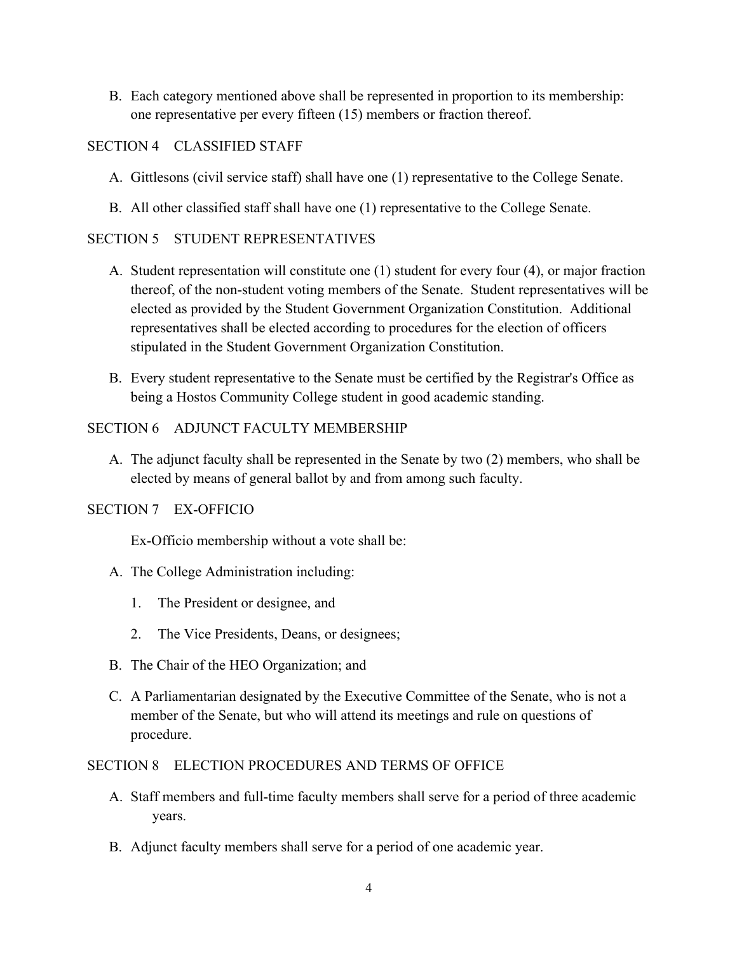B. Each category mentioned above shall be represented in proportion to its membership: one representative per every fifteen (15) members or fraction thereof.

# SECTION 4 CLASSIFIED STAFF

- A. Gittlesons (civil service staff) shall have one (1) representative to the College Senate.
- B. All other classified staff shall have one (1) representative to the College Senate.

# SECTION 5 STUDENT REPRESENTATIVES

- A. Student representation will constitute one (1) student for every four (4), or major fraction thereof, of the non-student voting members of the Senate. Student representatives will be elected as provided by the Student Government Organization Constitution. Additional representatives shall be elected according to procedures for the election of officers stipulated in the Student Government Organization Constitution.
- B. Every student representative to the Senate must be certified by the Registrar's Office as being a Hostos Community College student in good academic standing.

# SECTION 6 ADJUNCT FACULTY MEMBERSHIP

A. The adjunct faculty shall be represented in the Senate by two (2) members, who shall be elected by means of general ballot by and from among such faculty.

#### SECTION 7 EX-OFFICIO

Ex-Officio membership without a vote shall be:

- A. The College Administration including:
	- 1. The President or designee, and
	- 2. The Vice Presidents, Deans, or designees;
- B. The Chair of the HEO Organization; and
- C. A Parliamentarian designated by the Executive Committee of the Senate, who is not a member of the Senate, but who will attend its meetings and rule on questions of procedure.

#### SECTION 8 ELECTION PROCEDURES AND TERMS OF OFFICE

- A. Staff members and full-time faculty members shall serve for a period of three academic years.
- B. Adjunct faculty members shall serve for a period of one academic year.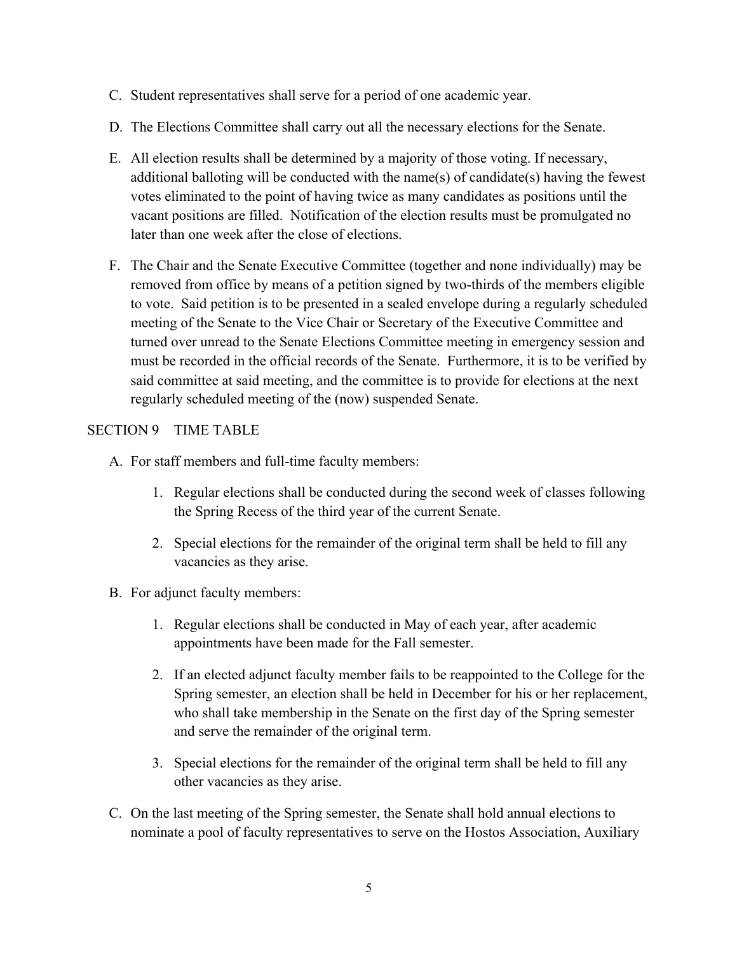- C. Student representatives shall serve for a period of one academic year.
- D. The Elections Committee shall carry out all the necessary elections for the Senate.
- E. All election results shall be determined by a majority of those voting. If necessary, additional balloting will be conducted with the name(s) of candidate(s) having the fewest votes eliminated to the point of having twice as many candidates as positions until the vacant positions are filled. Notification of the election results must be promulgated no later than one week after the close of elections.
- F. The Chair and the Senate Executive Committee (together and none individually) may be removed from office by means of a petition signed by two-thirds of the members eligible to vote. Said petition is to be presented in a sealed envelope during a regularly scheduled meeting of the Senate to the Vice Chair or Secretary of the Executive Committee and turned over unread to the Senate Elections Committee meeting in emergency session and must be recorded in the official records of the Senate. Furthermore, it is to be verified by said committee at said meeting, and the committee is to provide for elections at the next regularly scheduled meeting of the (now) suspended Senate.

# SECTION 9 TIME TABLE

- A. For staff members and full-time faculty members:
	- 1. Regular elections shall be conducted during the second week of classes following the Spring Recess of the third year of the current Senate.
	- 2. Special elections for the remainder of the original term shall be held to fill any vacancies as they arise.
- B. For adjunct faculty members:
	- 1. Regular elections shall be conducted in May of each year, after academic appointments have been made for the Fall semester.
	- 2. If an elected adjunct faculty member fails to be reappointed to the College for the Spring semester, an election shall be held in December for his or her replacement, who shall take membership in the Senate on the first day of the Spring semester and serve the remainder of the original term.
	- 3. Special elections for the remainder of the original term shall be held to fill any other vacancies as they arise.
- C. On the last meeting of the Spring semester, the Senate shall hold annual elections to nominate a pool of faculty representatives to serve on the Hostos Association, Auxiliary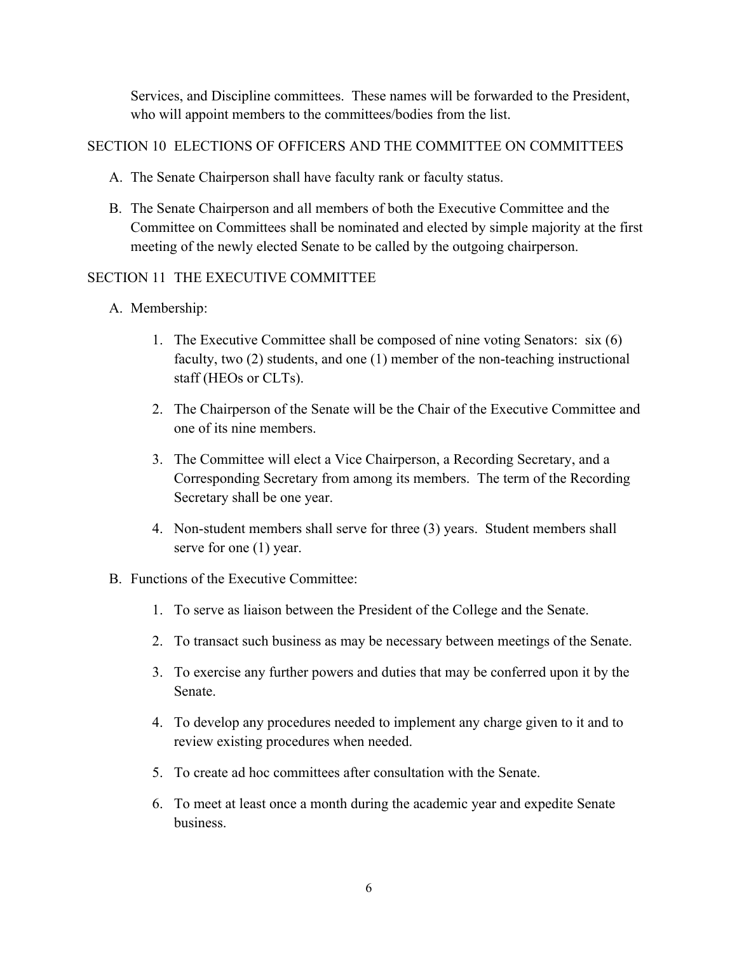Services, and Discipline committees. These names will be forwarded to the President, who will appoint members to the committees/bodies from the list.

# SECTION 10 ELECTIONS OF OFFICERS AND THE COMMITTEE ON COMMITTEES

- A. The Senate Chairperson shall have faculty rank or faculty status.
- B. The Senate Chairperson and all members of both the Executive Committee and the Committee on Committees shall be nominated and elected by simple majority at the first meeting of the newly elected Senate to be called by the outgoing chairperson.

# SECTION 11 THE EXECUTIVE COMMITTEE

- A. Membership:
	- 1. The Executive Committee shall be composed of nine voting Senators: six (6) faculty, two (2) students, and one (1) member of the non-teaching instructional staff (HEOs or CLTs).
	- 2. The Chairperson of the Senate will be the Chair of the Executive Committee and one of its nine members.
	- 3. The Committee will elect a Vice Chairperson, a Recording Secretary, and a Corresponding Secretary from among its members. The term of the Recording Secretary shall be one year.
	- 4. Non-student members shall serve for three (3) years. Student members shall serve for one (1) year.
- B. Functions of the Executive Committee:
	- 1. To serve as liaison between the President of the College and the Senate.
	- 2. To transact such business as may be necessary between meetings of the Senate.
	- 3. To exercise any further powers and duties that may be conferred upon it by the Senate.
	- 4. To develop any procedures needed to implement any charge given to it and to review existing procedures when needed.
	- 5. To create ad hoc committees after consultation with the Senate.
	- 6. To meet at least once a month during the academic year and expedite Senate business.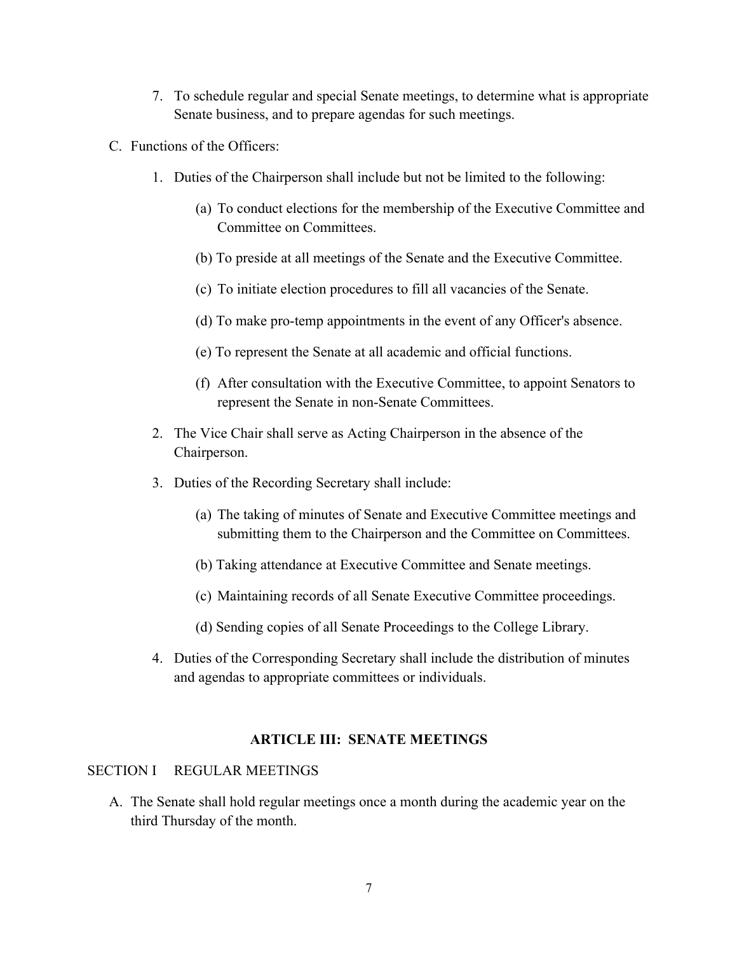- 7. To schedule regular and special Senate meetings, to determine what is appropriate Senate business, and to prepare agendas for such meetings.
- C. Functions of the Officers:
	- 1. Duties of the Chairperson shall include but not be limited to the following:
		- (a) To conduct elections for the membership of the Executive Committee and Committee on Committees.
		- (b) To preside at all meetings of the Senate and the Executive Committee.
		- (c) To initiate election procedures to fill all vacancies of the Senate.
		- (d) To make pro-temp appointments in the event of any Officer's absence.
		- (e) To represent the Senate at all academic and official functions.
		- (f) After consultation with the Executive Committee, to appoint Senators to represent the Senate in non-Senate Committees.
	- 2. The Vice Chair shall serve as Acting Chairperson in the absence of the Chairperson.
	- 3. Duties of the Recording Secretary shall include:
		- (a) The taking of minutes of Senate and Executive Committee meetings and submitting them to the Chairperson and the Committee on Committees.
		- (b) Taking attendance at Executive Committee and Senate meetings.
		- (c) Maintaining records of all Senate Executive Committee proceedings.
		- (d) Sending copies of all Senate Proceedings to the College Library.
	- 4. Duties of the Corresponding Secretary shall include the distribution of minutes and agendas to appropriate committees or individuals.

# **ARTICLE III: SENATE MEETINGS**

#### SECTION I REGULAR MEETINGS

A. The Senate shall hold regular meetings once a month during the academic year on the third Thursday of the month.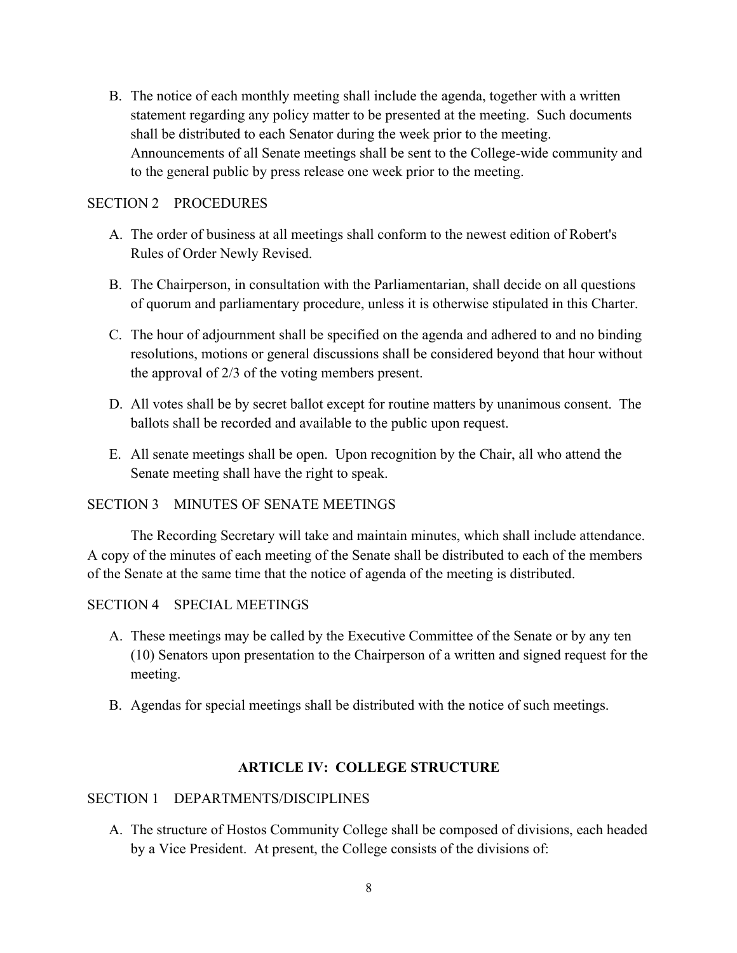B. The notice of each monthly meeting shall include the agenda, together with a written statement regarding any policy matter to be presented at the meeting. Such documents shall be distributed to each Senator during the week prior to the meeting. Announcements of all Senate meetings shall be sent to the College-wide community and to the general public by press release one week prior to the meeting.

#### SECTION 2 PROCEDURES

- A. The order of business at all meetings shall conform to the newest edition of Robert's Rules of Order Newly Revised.
- B. The Chairperson, in consultation with the Parliamentarian, shall decide on all questions of quorum and parliamentary procedure, unless it is otherwise stipulated in this Charter.
- C. The hour of adjournment shall be specified on the agenda and adhered to and no binding resolutions, motions or general discussions shall be considered beyond that hour without the approval of 2/3 of the voting members present.
- D. All votes shall be by secret ballot except for routine matters by unanimous consent. The ballots shall be recorded and available to the public upon request.
- E. All senate meetings shall be open. Upon recognition by the Chair, all who attend the Senate meeting shall have the right to speak.

#### SECTION 3 MINUTES OF SENATE MEETINGS

The Recording Secretary will take and maintain minutes, which shall include attendance. A copy of the minutes of each meeting of the Senate shall be distributed to each of the members of the Senate at the same time that the notice of agenda of the meeting is distributed.

#### SECTION 4 SPECIAL MEETINGS

- A. These meetings may be called by the Executive Committee of the Senate or by any ten (10) Senators upon presentation to the Chairperson of a written and signed request for the meeting.
- B. Agendas for special meetings shall be distributed with the notice of such meetings.

# **ARTICLE IV: COLLEGE STRUCTURE**

#### SECTION 1 DEPARTMENTS/DISCIPLINES

A. The structure of Hostos Community College shall be composed of divisions, each headed by a Vice President. At present, the College consists of the divisions of: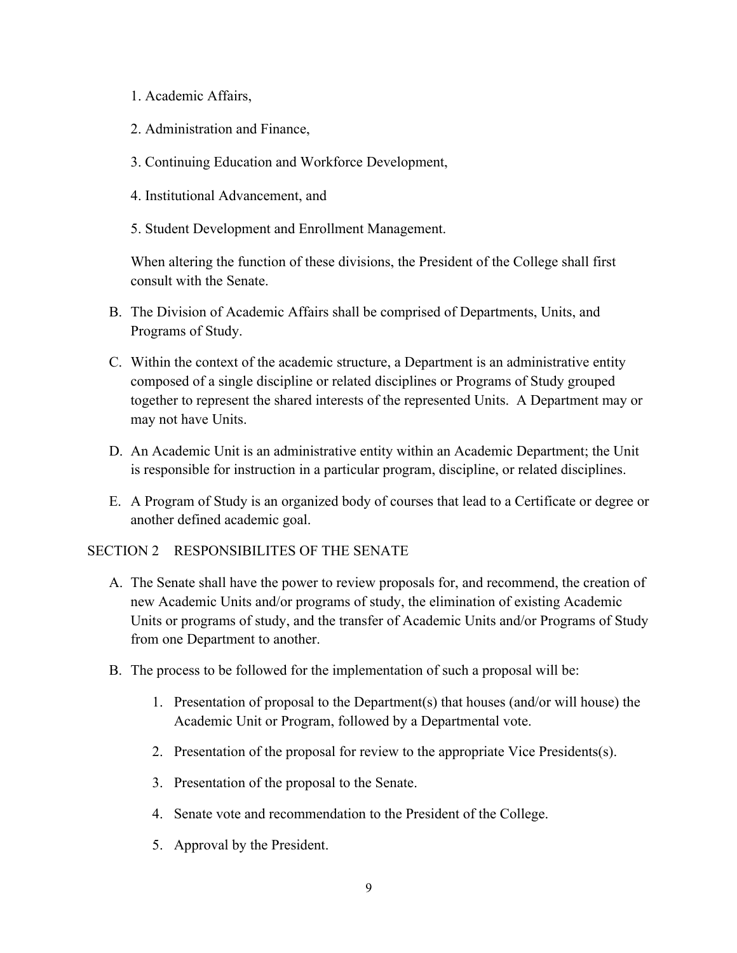- 1. Academic Affairs,
- 2. Administration and Finance,
- 3. Continuing Education and Workforce Development,
- 4. Institutional Advancement, and
- 5. Student Development and Enrollment Management.

When altering the function of these divisions, the President of the College shall first consult with the Senate.

- B. The Division of Academic Affairs shall be comprised of Departments, Units, and Programs of Study.
- C. Within the context of the academic structure, a Department is an administrative entity composed of a single discipline or related disciplines or Programs of Study grouped together to represent the shared interests of the represented Units. A Department may or may not have Units.
- D. An Academic Unit is an administrative entity within an Academic Department; the Unit is responsible for instruction in a particular program, discipline, or related disciplines.
- E. A Program of Study is an organized body of courses that lead to a Certificate or degree or another defined academic goal.

# SECTION 2 RESPONSIBILITES OF THE SENATE

- A. The Senate shall have the power to review proposals for, and recommend, the creation of new Academic Units and/or programs of study, the elimination of existing Academic Units or programs of study, and the transfer of Academic Units and/or Programs of Study from one Department to another.
- B. The process to be followed for the implementation of such a proposal will be:
	- 1. Presentation of proposal to the Department(s) that houses (and/or will house) the Academic Unit or Program, followed by a Departmental vote.
	- 2. Presentation of the proposal for review to the appropriate Vice Presidents(s).
	- 3. Presentation of the proposal to the Senate.
	- 4. Senate vote and recommendation to the President of the College.
	- 5. Approval by the President.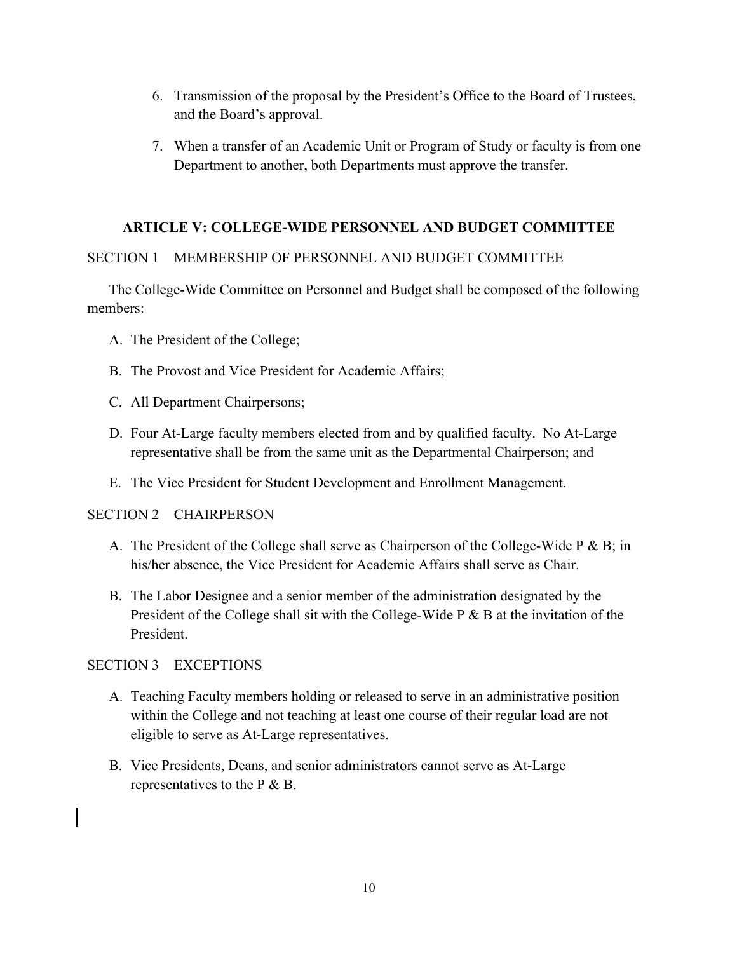- 6. Transmission of the proposal by the President's Office to the Board of Trustees, and the Board's approval.
- 7. When a transfer of an Academic Unit or Program of Study or faculty is from one Department to another, both Departments must approve the transfer.

# **ARTICLE V: COLLEGE-WIDE PERSONNEL AND BUDGET COMMITTEE**

# SECTION 1 MEMBERSHIP OF PERSONNEL AND BUDGET COMMITTEE

The College-Wide Committee on Personnel and Budget shall be composed of the following members:

- A. The President of the College;
- B. The Provost and Vice President for Academic Affairs;
- C. All Department Chairpersons;
- D. Four At-Large faculty members elected from and by qualified faculty. No At-Large representative shall be from the same unit as the Departmental Chairperson; and
- E. The Vice President for Student Development and Enrollment Management.

# SECTION 2 CHAIRPERSON

- A. The President of the College shall serve as Chairperson of the College-Wide P & B; in his/her absence, the Vice President for Academic Affairs shall serve as Chair.
- B. The Labor Designee and a senior member of the administration designated by the President of the College shall sit with the College-Wide P & B at the invitation of the President.

# SECTION 3 EXCEPTIONS

- A. Teaching Faculty members holding or released to serve in an administrative position within the College and not teaching at least one course of their regular load are not eligible to serve as At-Large representatives.
- B. Vice Presidents, Deans, and senior administrators cannot serve as At-Large representatives to the P & B.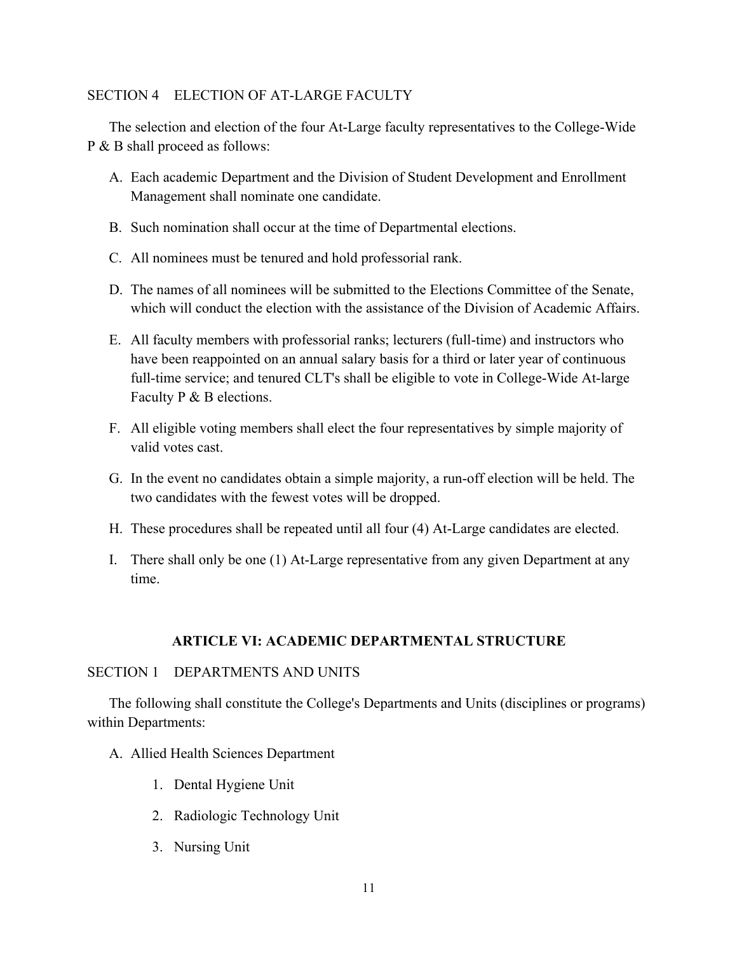#### SECTION 4 ELECTION OF AT-LARGE FACULTY

The selection and election of the four At-Large faculty representatives to the College-Wide P & B shall proceed as follows:

- A. Each academic Department and the Division of Student Development and Enrollment Management shall nominate one candidate.
- B. Such nomination shall occur at the time of Departmental elections.
- C. All nominees must be tenured and hold professorial rank.
- D. The names of all nominees will be submitted to the Elections Committee of the Senate, which will conduct the election with the assistance of the Division of Academic Affairs.
- E. All faculty members with professorial ranks; lecturers (full-time) and instructors who have been reappointed on an annual salary basis for a third or later year of continuous full-time service; and tenured CLT's shall be eligible to vote in College-Wide At-large Faculty P & B elections.
- F. All eligible voting members shall elect the four representatives by simple majority of valid votes cast.
- G. In the event no candidates obtain a simple majority, a run-off election will be held. The two candidates with the fewest votes will be dropped.
- H. These procedures shall be repeated until all four (4) At-Large candidates are elected.
- I. There shall only be one (1) At-Large representative from any given Department at any time.

# **ARTICLE VI: ACADEMIC DEPARTMENTAL STRUCTURE**

#### SECTION 1 DEPARTMENTS AND UNITS

The following shall constitute the College's Departments and Units (disciplines or programs) within Departments:

- A. Allied Health Sciences Department
	- 1. Dental Hygiene Unit
	- 2. Radiologic Technology Unit
	- 3. Nursing Unit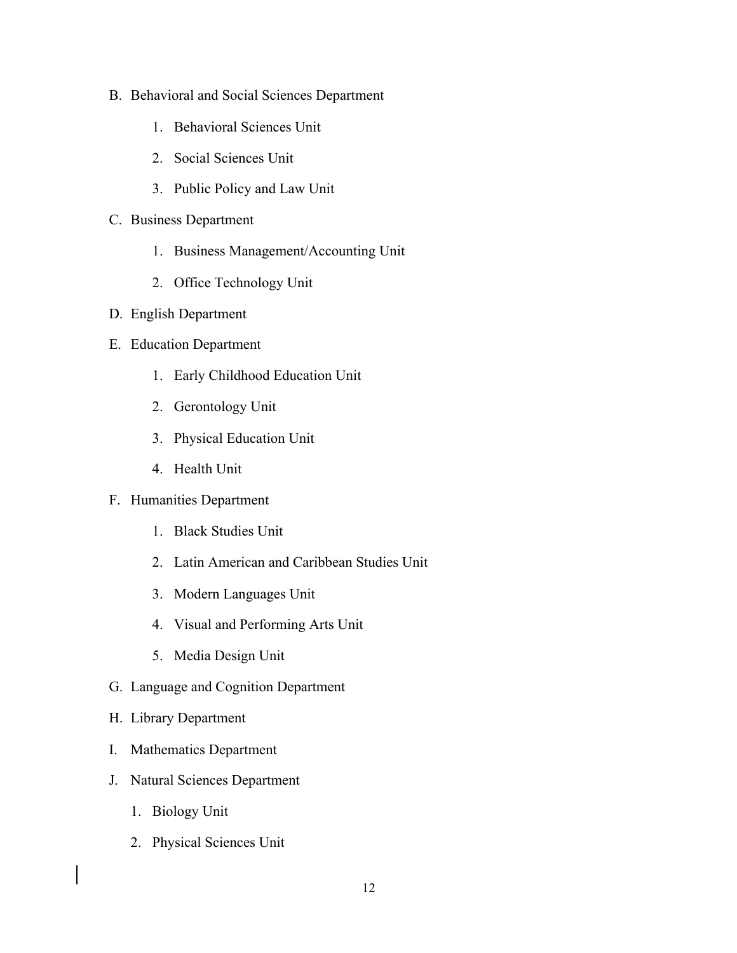- B. Behavioral and Social Sciences Department
	- 1. Behavioral Sciences Unit
	- 2. Social Sciences Unit
	- 3. Public Policy and Law Unit
- C. Business Department
	- 1. Business Management/Accounting Unit
	- 2. Office Technology Unit
- D. English Department
- E. Education Department
	- 1. Early Childhood Education Unit
	- 2. Gerontology Unit
	- 3. Physical Education Unit
	- 4. Health Unit
- F. Humanities Department
	- 1. Black Studies Unit
	- 2. Latin American and Caribbean Studies Unit
	- 3. Modern Languages Unit
	- 4. Visual and Performing Arts Unit
	- 5. Media Design Unit
- G. Language and Cognition Department
- H. Library Department
- I. Mathematics Department
- J. Natural Sciences Department
	- 1. Biology Unit
	- 2. Physical Sciences Unit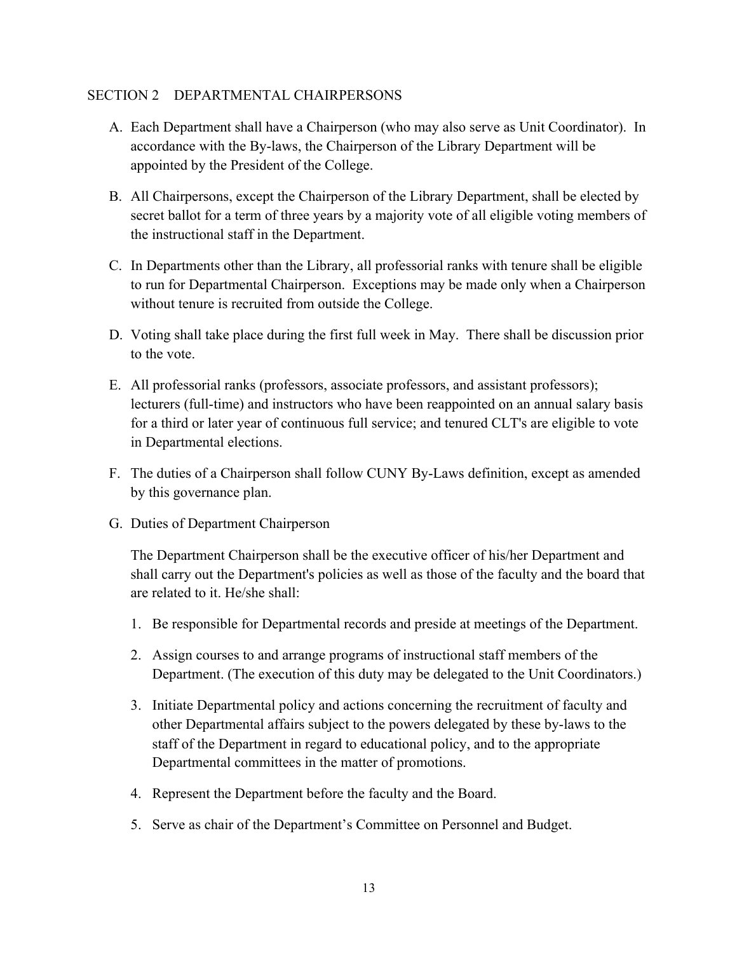#### SECTION 2 DEPARTMENTAL CHAIRPERSONS

- A. Each Department shall have a Chairperson (who may also serve as Unit Coordinator). In accordance with the By-laws, the Chairperson of the Library Department will be appointed by the President of the College.
- B. All Chairpersons, except the Chairperson of the Library Department, shall be elected by secret ballot for a term of three years by a majority vote of all eligible voting members of the instructional staff in the Department.
- C. In Departments other than the Library, all professorial ranks with tenure shall be eligible to run for Departmental Chairperson. Exceptions may be made only when a Chairperson without tenure is recruited from outside the College.
- D. Voting shall take place during the first full week in May. There shall be discussion prior to the vote.
- E. All professorial ranks (professors, associate professors, and assistant professors); lecturers (full-time) and instructors who have been reappointed on an annual salary basis for a third or later year of continuous full service; and tenured CLT's are eligible to vote in Departmental elections.
- F. The duties of a Chairperson shall follow CUNY By-Laws definition, except as amended by this governance plan.
- G. Duties of Department Chairperson

The Department Chairperson shall be the executive officer of his/her Department and shall carry out the Department's policies as well as those of the faculty and the board that are related to it. He/she shall:

- 1. Be responsible for Departmental records and preside at meetings of the Department.
- 2. Assign courses to and arrange programs of instructional staff members of the Department. (The execution of this duty may be delegated to the Unit Coordinators.)
- 3. Initiate Departmental policy and actions concerning the recruitment of faculty and other Departmental affairs subject to the powers delegated by these by-laws to the staff of the Department in regard to educational policy, and to the appropriate Departmental committees in the matter of promotions.
- 4. Represent the Department before the faculty and the Board.
- 5. Serve as chair of the Department's Committee on Personnel and Budget.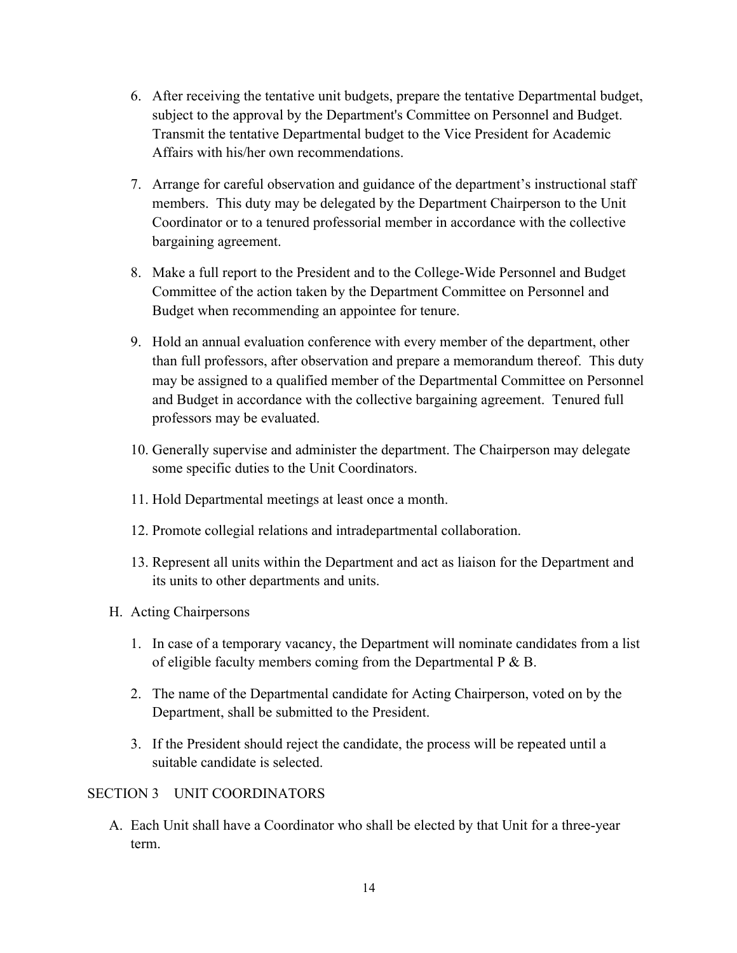- 6. After receiving the tentative unit budgets, prepare the tentative Departmental budget, subject to the approval by the Department's Committee on Personnel and Budget. Transmit the tentative Departmental budget to the Vice President for Academic Affairs with his/her own recommendations.
- 7. Arrange for careful observation and guidance of the department's instructional staff members. This duty may be delegated by the Department Chairperson to the Unit Coordinator or to a tenured professorial member in accordance with the collective bargaining agreement.
- 8. Make a full report to the President and to the College-Wide Personnel and Budget Committee of the action taken by the Department Committee on Personnel and Budget when recommending an appointee for tenure.
- 9. Hold an annual evaluation conference with every member of the department, other than full professors, after observation and prepare a memorandum thereof. This duty may be assigned to a qualified member of the Departmental Committee on Personnel and Budget in accordance with the collective bargaining agreement. Tenured full professors may be evaluated.
- 10. Generally supervise and administer the department. The Chairperson may delegate some specific duties to the Unit Coordinators.
- 11. Hold Departmental meetings at least once a month.
- 12. Promote collegial relations and intradepartmental collaboration.
- 13. Represent all units within the Department and act as liaison for the Department and its units to other departments and units.
- H. Acting Chairpersons
	- 1. In case of a temporary vacancy, the Department will nominate candidates from a list of eligible faculty members coming from the Departmental  $P \& B$ .
	- 2. The name of the Departmental candidate for Acting Chairperson, voted on by the Department, shall be submitted to the President.
	- 3. If the President should reject the candidate, the process will be repeated until a suitable candidate is selected.

# SECTION 3 UNIT COORDINATORS

A. Each Unit shall have a Coordinator who shall be elected by that Unit for a three-year term.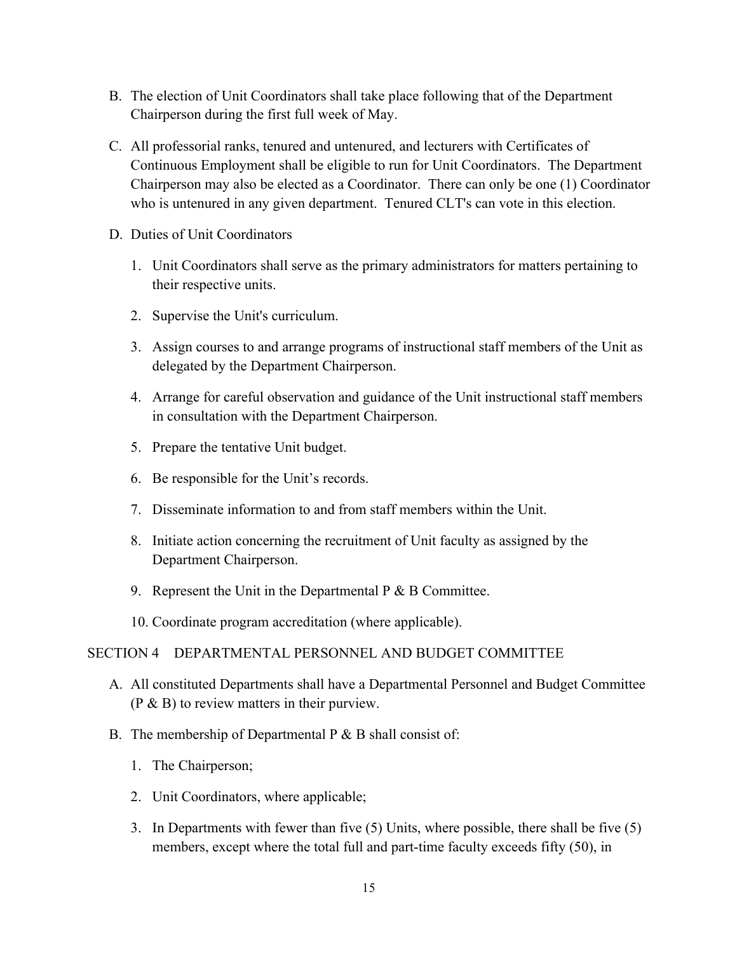- B. The election of Unit Coordinators shall take place following that of the Department Chairperson during the first full week of May.
- C. All professorial ranks, tenured and untenured, and lecturers with Certificates of Continuous Employment shall be eligible to run for Unit Coordinators. The Department Chairperson may also be elected as a Coordinator. There can only be one (1) Coordinator who is untenured in any given department. Tenured CLT's can vote in this election.
- D. Duties of Unit Coordinators
	- 1. Unit Coordinators shall serve as the primary administrators for matters pertaining to their respective units.
	- 2. Supervise the Unit's curriculum.
	- 3. Assign courses to and arrange programs of instructional staff members of the Unit as delegated by the Department Chairperson.
	- 4. Arrange for careful observation and guidance of the Unit instructional staff members in consultation with the Department Chairperson.
	- 5. Prepare the tentative Unit budget.
	- 6. Be responsible for the Unit's records.
	- 7. Disseminate information to and from staff members within the Unit.
	- 8. Initiate action concerning the recruitment of Unit faculty as assigned by the Department Chairperson.
	- 9. Represent the Unit in the Departmental  $P \& B$  Committee.
	- 10. Coordinate program accreditation (where applicable).

#### SECTION 4 DEPARTMENTAL PERSONNEL AND BUDGET COMMITTEE

- A. All constituted Departments shall have a Departmental Personnel and Budget Committee (P & B) to review matters in their purview.
- B. The membership of Departmental  $P \& B$  shall consist of:
	- 1. The Chairperson;
	- 2. Unit Coordinators, where applicable;
	- 3. In Departments with fewer than five (5) Units, where possible, there shall be five (5) members, except where the total full and part-time faculty exceeds fifty (50), in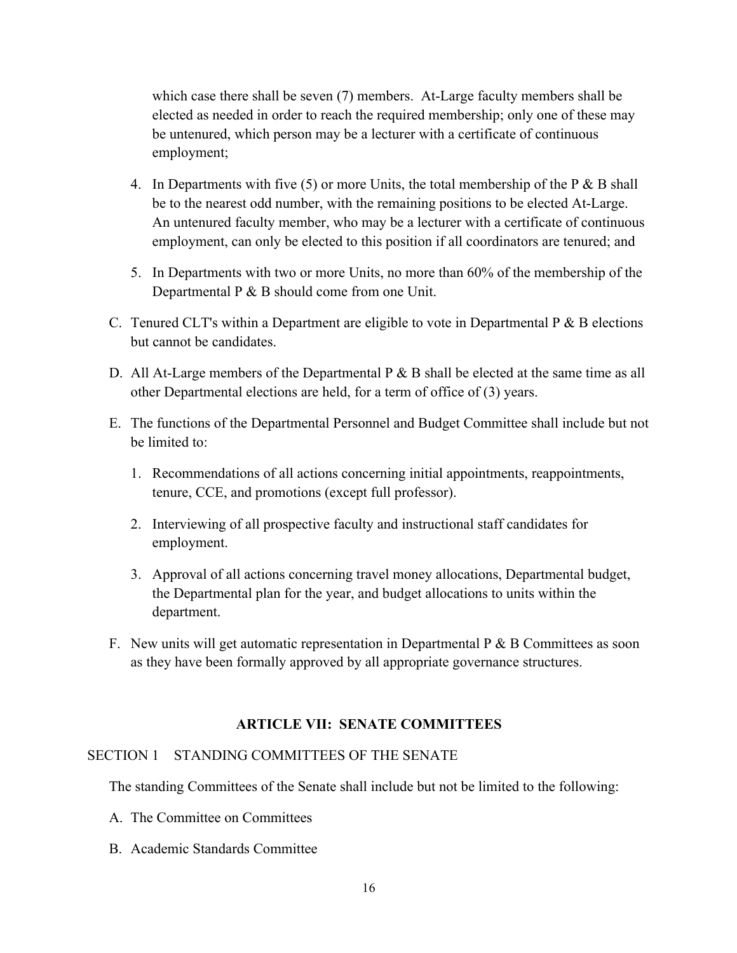which case there shall be seven (7) members. At-Large faculty members shall be elected as needed in order to reach the required membership; only one of these may be untenured, which person may be a lecturer with a certificate of continuous employment;

- 4. In Departments with five  $(5)$  or more Units, the total membership of the P & B shall be to the nearest odd number, with the remaining positions to be elected At-Large. An untenured faculty member, who may be a lecturer with a certificate of continuous employment, can only be elected to this position if all coordinators are tenured; and
- 5. In Departments with two or more Units, no more than 60% of the membership of the Departmental P & B should come from one Unit.
- C. Tenured CLT's within a Department are eligible to vote in Departmental  $P \& B$  elections but cannot be candidates.
- D. All At-Large members of the Departmental P & B shall be elected at the same time as all other Departmental elections are held, for a term of office of (3) years.
- E. The functions of the Departmental Personnel and Budget Committee shall include but not be limited to:
	- 1. Recommendations of all actions concerning initial appointments, reappointments, tenure, CCE, and promotions (except full professor).
	- 2. Interviewing of all prospective faculty and instructional staff candidates for employment.
	- 3. Approval of all actions concerning travel money allocations, Departmental budget, the Departmental plan for the year, and budget allocations to units within the department.
- F. New units will get automatic representation in Departmental  $P \& B$  Committees as soon as they have been formally approved by all appropriate governance structures.

# **ARTICLE VII: SENATE COMMITTEES**

#### SECTION 1 STANDING COMMITTEES OF THE SENATE

The standing Committees of the Senate shall include but not be limited to the following:

- A. The Committee on Committees
- B. Academic Standards Committee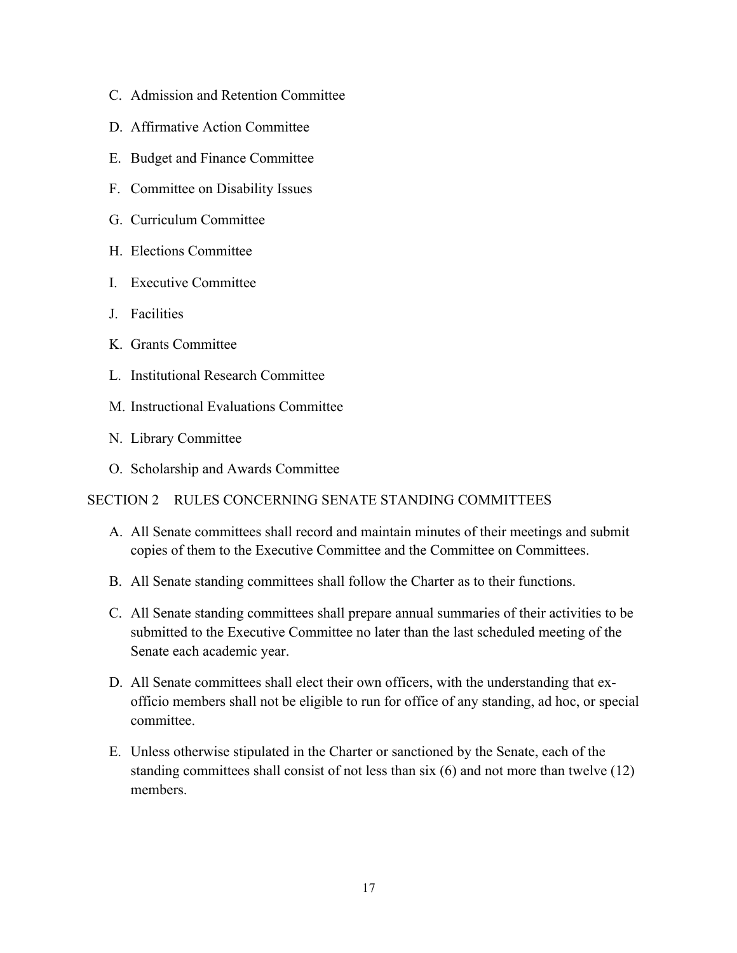- C. Admission and Retention Committee
- D. Affirmative Action Committee
- E. Budget and Finance Committee
- F. Committee on Disability Issues
- G. Curriculum Committee
- H. Elections Committee
- I. Executive Committee
- J. Facilities
- K. Grants Committee
- L. Institutional Research Committee
- M. Instructional Evaluations Committee
- N. Library Committee
- O. Scholarship and Awards Committee

# SECTION 2 RULES CONCERNING SENATE STANDING COMMITTEES

- A. All Senate committees shall record and maintain minutes of their meetings and submit copies of them to the Executive Committee and the Committee on Committees.
- B. All Senate standing committees shall follow the Charter as to their functions.
- C. All Senate standing committees shall prepare annual summaries of their activities to be submitted to the Executive Committee no later than the last scheduled meeting of the Senate each academic year.
- D. All Senate committees shall elect their own officers, with the understanding that exofficio members shall not be eligible to run for office of any standing, ad hoc, or special committee.
- E. Unless otherwise stipulated in the Charter or sanctioned by the Senate, each of the standing committees shall consist of not less than six (6) and not more than twelve (12) members.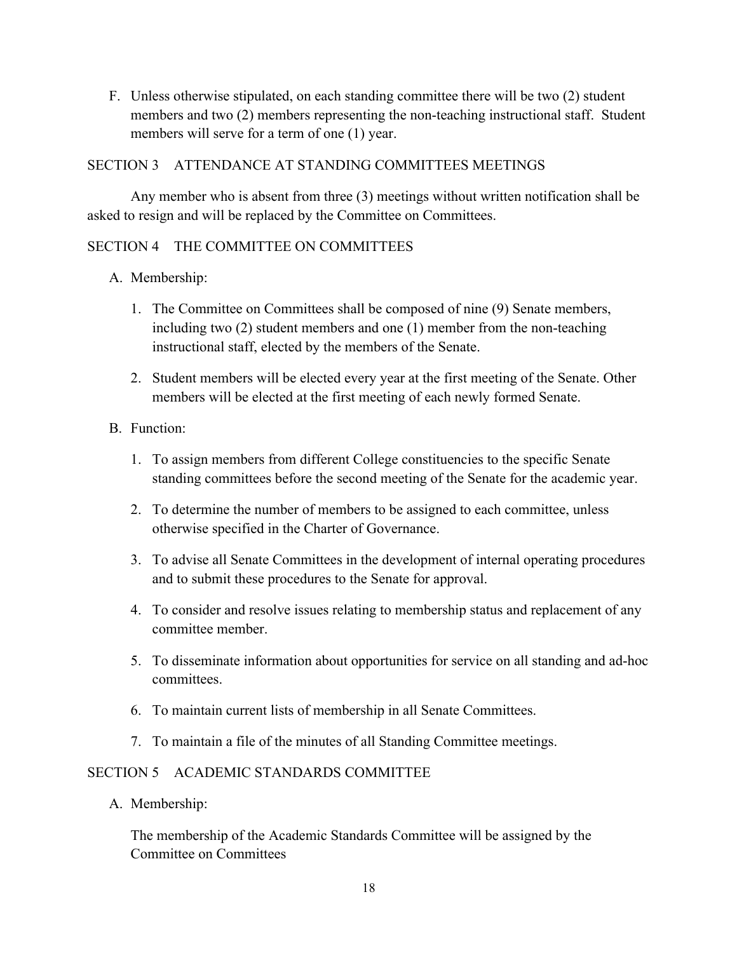F. Unless otherwise stipulated, on each standing committee there will be two (2) student members and two (2) members representing the non-teaching instructional staff. Student members will serve for a term of one (1) year.

# SECTION 3 ATTENDANCE AT STANDING COMMITTEES MEETINGS

Any member who is absent from three (3) meetings without written notification shall be asked to resign and will be replaced by the Committee on Committees.

# SECTION 4 THE COMMITTEE ON COMMITTEES

- A. Membership:
	- 1. The Committee on Committees shall be composed of nine (9) Senate members, including two (2) student members and one (1) member from the non-teaching instructional staff, elected by the members of the Senate.
	- 2. Student members will be elected every year at the first meeting of the Senate. Other members will be elected at the first meeting of each newly formed Senate.

# B. Function:

- 1. To assign members from different College constituencies to the specific Senate standing committees before the second meeting of the Senate for the academic year.
- 2. To determine the number of members to be assigned to each committee, unless otherwise specified in the Charter of Governance.
- 3. To advise all Senate Committees in the development of internal operating procedures and to submit these procedures to the Senate for approval.
- 4. To consider and resolve issues relating to membership status and replacement of any committee member.
- 5. To disseminate information about opportunities for service on all standing and ad-hoc committees.
- 6. To maintain current lists of membership in all Senate Committees.
- 7. To maintain a file of the minutes of all Standing Committee meetings.

# SECTION 5 ACADEMIC STANDARDS COMMITTEE

A. Membership:

The membership of the Academic Standards Committee will be assigned by the Committee on Committees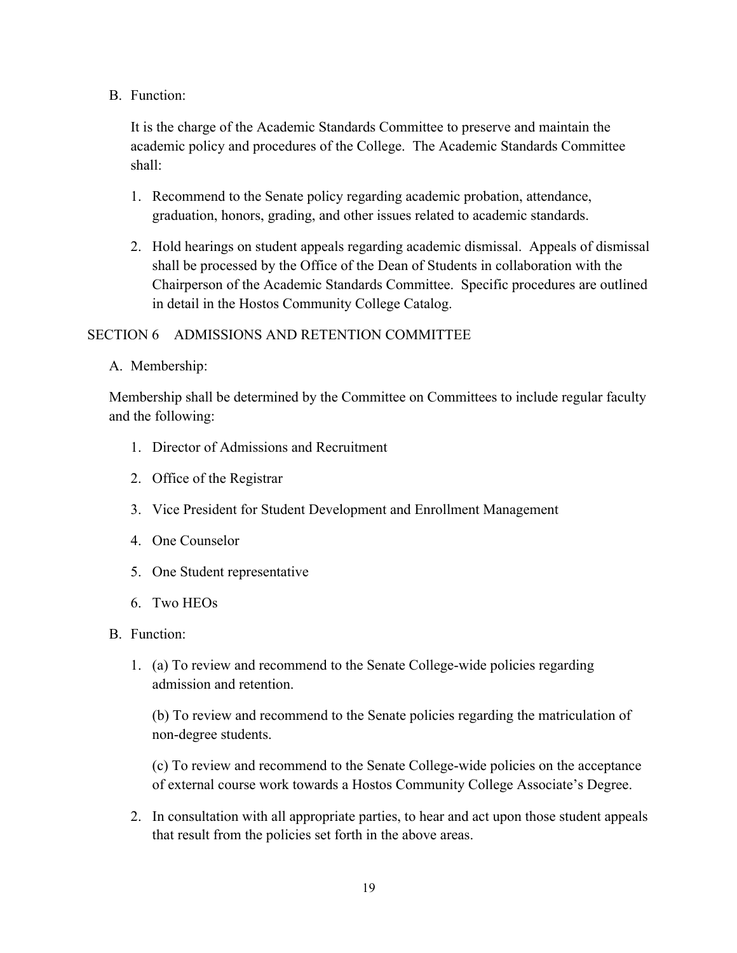B. Function:

It is the charge of the Academic Standards Committee to preserve and maintain the academic policy and procedures of the College. The Academic Standards Committee shall:

- 1. Recommend to the Senate policy regarding academic probation, attendance, graduation, honors, grading, and other issues related to academic standards.
- 2. Hold hearings on student appeals regarding academic dismissal. Appeals of dismissal shall be processed by the Office of the Dean of Students in collaboration with the Chairperson of the Academic Standards Committee. Specific procedures are outlined in detail in the Hostos Community College Catalog.

# SECTION 6 ADMISSIONS AND RETENTION COMMITTEE

A. Membership:

Membership shall be determined by the Committee on Committees to include regular faculty and the following:

- 1. Director of Admissions and Recruitment
- 2. Office of the Registrar
- 3. Vice President for Student Development and Enrollment Management
- 4. One Counselor
- 5. One Student representative
- 6. Two HEOs
- B. Function:
	- 1. (a) To review and recommend to the Senate College-wide policies regarding admission and retention.

(b) To review and recommend to the Senate policies regarding the matriculation of non-degree students.

(c) To review and recommend to the Senate College-wide policies on the acceptance of external course work towards a Hostos Community College Associate's Degree.

2. In consultation with all appropriate parties, to hear and act upon those student appeals that result from the policies set forth in the above areas.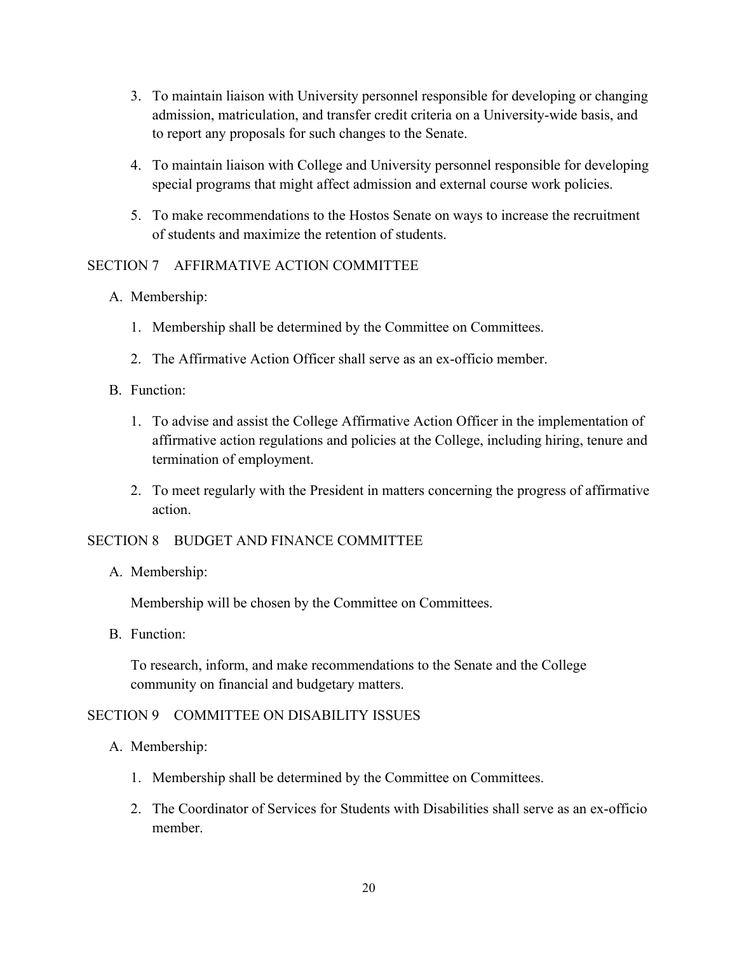- 3. To maintain liaison with University personnel responsible for developing or changing admission, matriculation, and transfer credit criteria on a University-wide basis, and to report any proposals for such changes to the Senate.
- 4. To maintain liaison with College and University personnel responsible for developing special programs that might affect admission and external course work policies.
- 5. To make recommendations to the Hostos Senate on ways to increase the recruitment of students and maximize the retention of students.

# SECTION 7 AFFIRMATIVE ACTION COMMITTEE

- A. Membership:
	- 1. Membership shall be determined by the Committee on Committees.
	- 2. The Affirmative Action Officer shall serve as an ex-officio member.
- B. Function:
	- 1. To advise and assist the College Affirmative Action Officer in the implementation of affirmative action regulations and policies at the College, including hiring, tenure and termination of employment.
	- 2. To meet regularly with the President in matters concerning the progress of affirmative action.

# SECTION 8 BUDGET AND FINANCE COMMITTEE

A. Membership:

Membership will be chosen by the Committee on Committees.

B. Function:

To research, inform, and make recommendations to the Senate and the College community on financial and budgetary matters.

# SECTION 9 COMMITTEE ON DISABILITY ISSUES

- A. Membership:
	- 1. Membership shall be determined by the Committee on Committees.
	- 2. The Coordinator of Services for Students with Disabilities shall serve as an ex-officio member.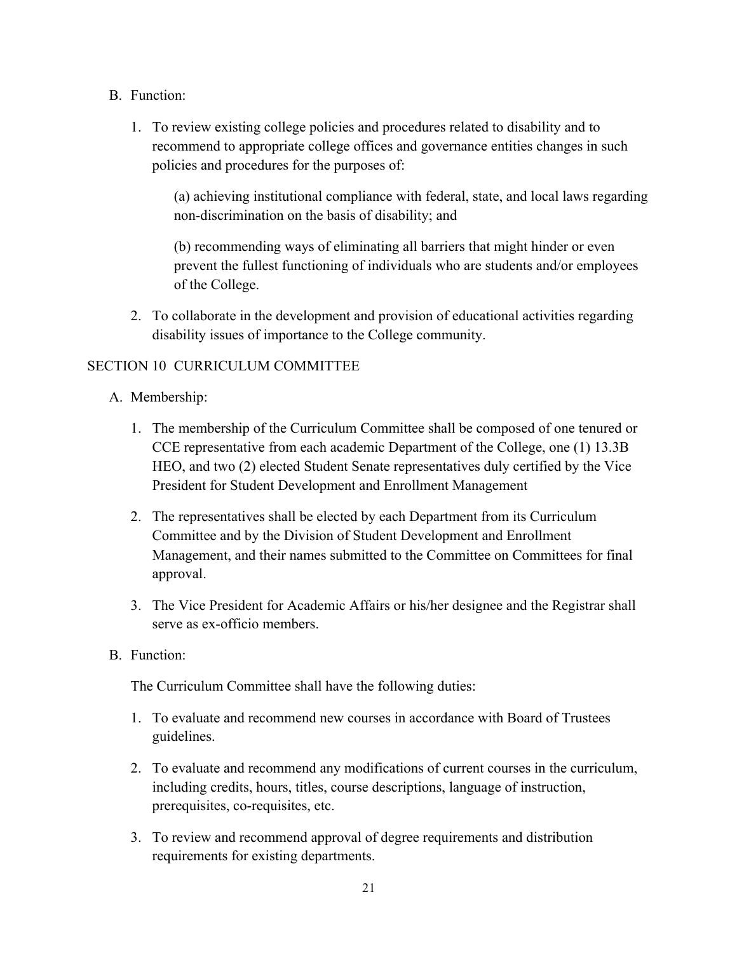- B. Function:
	- 1. To review existing college policies and procedures related to disability and to recommend to appropriate college offices and governance entities changes in such policies and procedures for the purposes of:

(a) achieving institutional compliance with federal, state, and local laws regarding non-discrimination on the basis of disability; and

(b) recommending ways of eliminating all barriers that might hinder or even prevent the fullest functioning of individuals who are students and/or employees of the College.

2. To collaborate in the development and provision of educational activities regarding disability issues of importance to the College community.

# SECTION 10 CURRICULUM COMMITTEE

- A. Membership:
	- 1. The membership of the Curriculum Committee shall be composed of one tenured or CCE representative from each academic Department of the College, one (1) 13.3B HEO, and two (2) elected Student Senate representatives duly certified by the Vice President for Student Development and Enrollment Management
	- 2. The representatives shall be elected by each Department from its Curriculum Committee and by the Division of Student Development and Enrollment Management, and their names submitted to the Committee on Committees for final approval.
	- 3. The Vice President for Academic Affairs or his/her designee and the Registrar shall serve as ex-officio members.
- B. Function:

The Curriculum Committee shall have the following duties:

- 1. To evaluate and recommend new courses in accordance with Board of Trustees guidelines.
- 2. To evaluate and recommend any modifications of current courses in the curriculum, including credits, hours, titles, course descriptions, language of instruction, prerequisites, co-requisites, etc.
- 3. To review and recommend approval of degree requirements and distribution requirements for existing departments.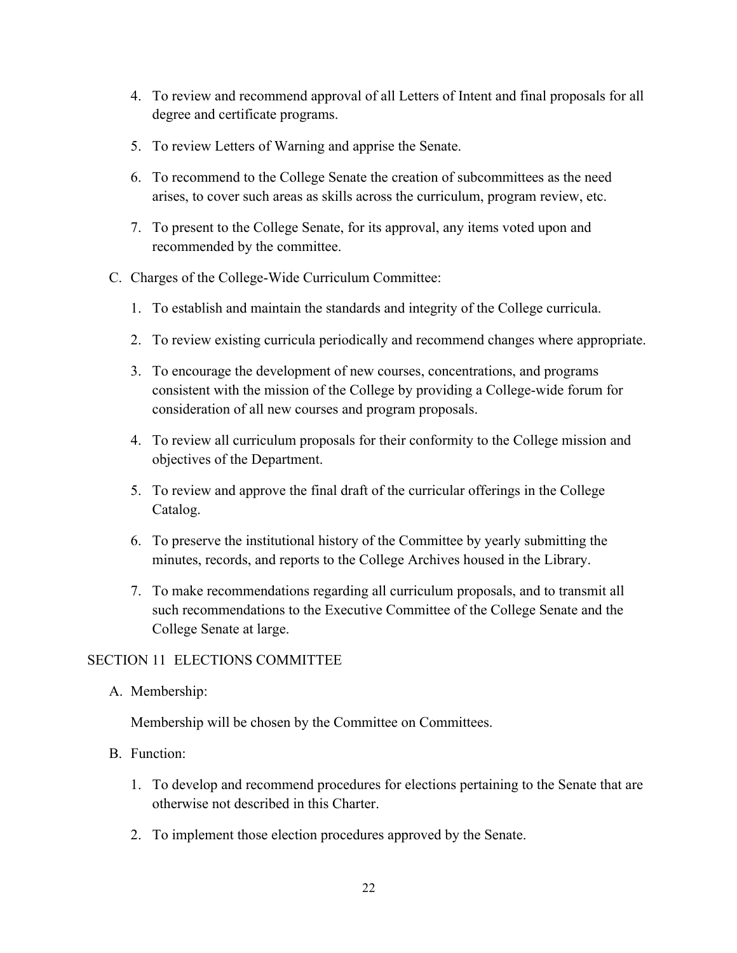- 4. To review and recommend approval of all Letters of Intent and final proposals for all degree and certificate programs.
- 5. To review Letters of Warning and apprise the Senate.
- 6. To recommend to the College Senate the creation of subcommittees as the need arises, to cover such areas as skills across the curriculum, program review, etc.
- 7. To present to the College Senate, for its approval, any items voted upon and recommended by the committee.
- C. Charges of the College-Wide Curriculum Committee:
	- 1. To establish and maintain the standards and integrity of the College curricula.
	- 2. To review existing curricula periodically and recommend changes where appropriate.
	- 3. To encourage the development of new courses, concentrations, and programs consistent with the mission of the College by providing a College-wide forum for consideration of all new courses and program proposals.
	- 4. To review all curriculum proposals for their conformity to the College mission and objectives of the Department.
	- 5. To review and approve the final draft of the curricular offerings in the College Catalog.
	- 6. To preserve the institutional history of the Committee by yearly submitting the minutes, records, and reports to the College Archives housed in the Library.
	- 7. To make recommendations regarding all curriculum proposals, and to transmit all such recommendations to the Executive Committee of the College Senate and the College Senate at large.

# SECTION 11 ELECTIONS COMMITTEE

A. Membership:

Membership will be chosen by the Committee on Committees.

- B. Function:
	- 1. To develop and recommend procedures for elections pertaining to the Senate that are otherwise not described in this Charter.
	- 2. To implement those election procedures approved by the Senate.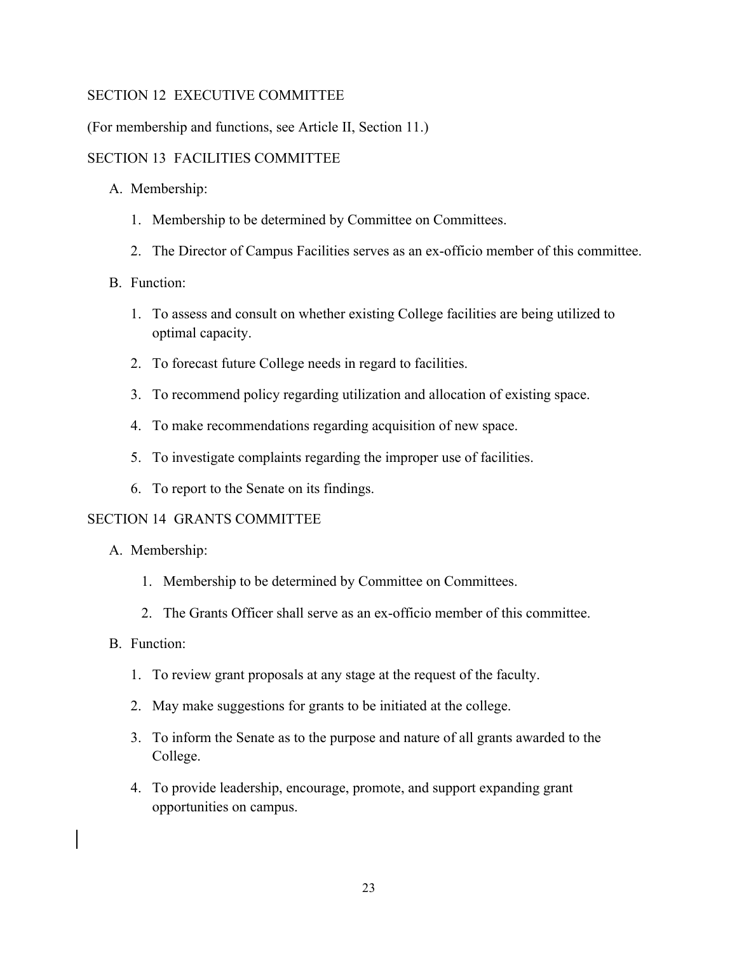# SECTION 12 EXECUTIVE COMMITTEE

(For membership and functions, see Article II, Section 11.)

# SECTION 13 FACILITIES COMMITTEE

- A. Membership:
	- 1. Membership to be determined by Committee on Committees.
	- 2. The Director of Campus Facilities serves as an ex-officio member of this committee.
- B. Function:
	- 1. To assess and consult on whether existing College facilities are being utilized to optimal capacity.
	- 2. To forecast future College needs in regard to facilities.
	- 3. To recommend policy regarding utilization and allocation of existing space.
	- 4. To make recommendations regarding acquisition of new space.
	- 5. To investigate complaints regarding the improper use of facilities.
	- 6. To report to the Senate on its findings.

#### SECTION 14 GRANTS COMMITTEE

- A. Membership:
	- 1. Membership to be determined by Committee on Committees.
	- 2. The Grants Officer shall serve as an ex-officio member of this committee.

# B. Function:

- 1. To review grant proposals at any stage at the request of the faculty.
- 2. May make suggestions for grants to be initiated at the college.
- 3. To inform the Senate as to the purpose and nature of all grants awarded to the College.
- 4. To provide leadership, encourage, promote, and support expanding grant opportunities on campus.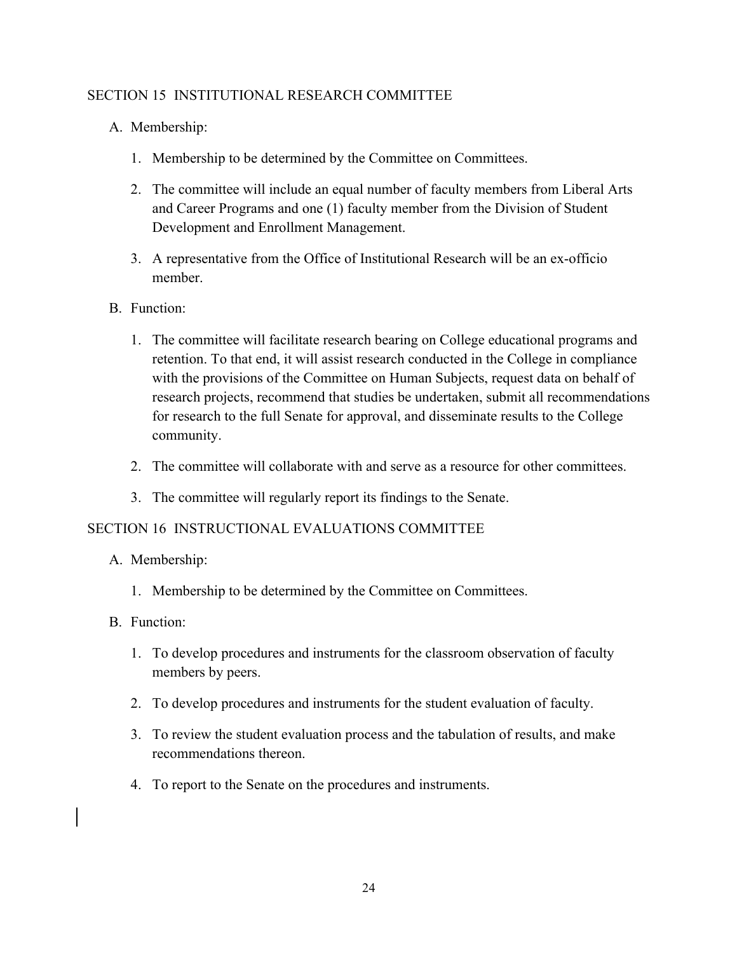# SECTION 15 INSTITUTIONAL RESEARCH COMMITTEE

- A. Membership:
	- 1. Membership to be determined by the Committee on Committees.
	- 2. The committee will include an equal number of faculty members from Liberal Arts and Career Programs and one (1) faculty member from the Division of Student Development and Enrollment Management.
	- 3. A representative from the Office of Institutional Research will be an ex-officio member.
- B. Function:
	- 1. The committee will facilitate research bearing on College educational programs and retention. To that end, it will assist research conducted in the College in compliance with the provisions of the Committee on Human Subjects, request data on behalf of research projects, recommend that studies be undertaken, submit all recommendations for research to the full Senate for approval, and disseminate results to the College community.
	- 2. The committee will collaborate with and serve as a resource for other committees.
	- 3. The committee will regularly report its findings to the Senate.

# SECTION 16 INSTRUCTIONAL EVALUATIONS COMMITTEE

- A. Membership:
	- 1. Membership to be determined by the Committee on Committees.
- B. Function:
	- 1. To develop procedures and instruments for the classroom observation of faculty members by peers.
	- 2. To develop procedures and instruments for the student evaluation of faculty.
	- 3. To review the student evaluation process and the tabulation of results, and make recommendations thereon.
	- 4. To report to the Senate on the procedures and instruments.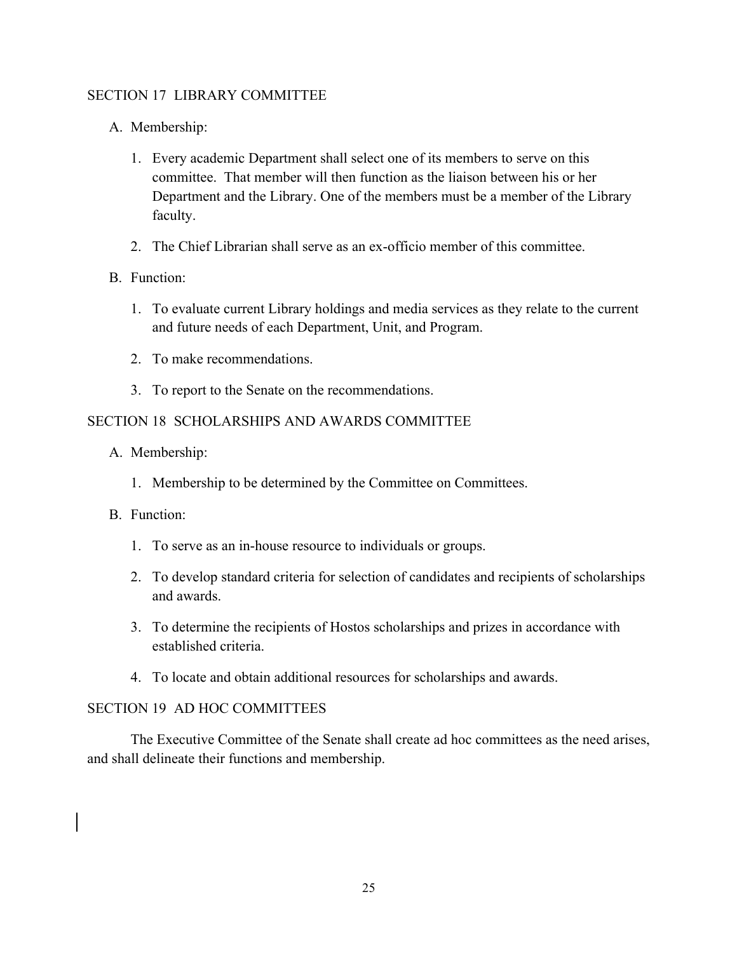# SECTION 17 LIBRARY COMMITTEE

- A. Membership:
	- 1. Every academic Department shall select one of its members to serve on this committee. That member will then function as the liaison between his or her Department and the Library. One of the members must be a member of the Library faculty.
	- 2. The Chief Librarian shall serve as an ex-officio member of this committee.

# B. Function:

- 1. To evaluate current Library holdings and media services as they relate to the current and future needs of each Department, Unit, and Program.
- 2. To make recommendations.
- 3. To report to the Senate on the recommendations.

# SECTION 18 SCHOLARSHIPS AND AWARDS COMMITTEE

- A. Membership:
	- 1. Membership to be determined by the Committee on Committees.
- B. Function:
	- 1. To serve as an in-house resource to individuals or groups.
	- 2. To develop standard criteria for selection of candidates and recipients of scholarships and awards.
	- 3. To determine the recipients of Hostos scholarships and prizes in accordance with established criteria.
	- 4. To locate and obtain additional resources for scholarships and awards.

#### SECTION 19 AD HOC COMMITTEES

The Executive Committee of the Senate shall create ad hoc committees as the need arises, and shall delineate their functions and membership.